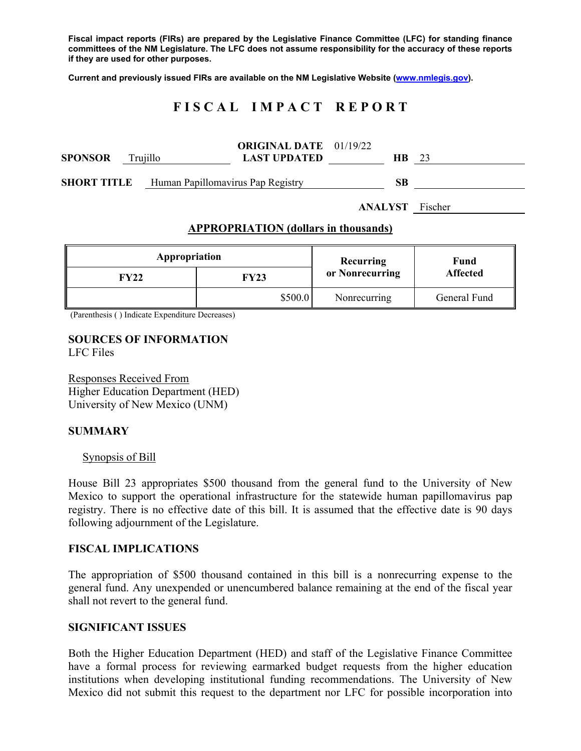**Fiscal impact reports (FIRs) are prepared by the Legislative Finance Committee (LFC) for standing finance committees of the NM Legislature. The LFC does not assume responsibility for the accuracy of these reports if they are used for other purposes.** 

**Current and previously issued FIRs are available on the NM Legislative Website (www.nmlegis.gov).** 

# **F I S C A L I M P A C T R E P O R T**

| <b>SPONSOR</b> | Truiillo |                                   | <b>ORIGINAL DATE</b> 01/19/22<br><b>LAST UPDATED</b> | HВ | 23 |
|----------------|----------|-----------------------------------|------------------------------------------------------|----|----|
| SHORT TITLE    |          | Human Papillomavirus Pap Registry |                                                      | SВ |    |

**ANALYST** Fischer

#### **APPROPRIATION (dollars in thousands)**

| Appropriation |         | Recurring       | Fund<br><b>Affected</b> |  |
|---------------|---------|-----------------|-------------------------|--|
| FY22          | FY23    | or Nonrecurring |                         |  |
|               | \$500.0 | Nonrecurring    | General Fund            |  |

(Parenthesis ( ) Indicate Expenditure Decreases)

#### **SOURCES OF INFORMATION**  LFC Files

Responses Received From Higher Education Department (HED) University of New Mexico (UNM)

### **SUMMARY**

#### Synopsis of Bill

House Bill 23 appropriates \$500 thousand from the general fund to the University of New Mexico to support the operational infrastructure for the statewide human papillomavirus pap registry. There is no effective date of this bill. It is assumed that the effective date is 90 days following adjournment of the Legislature.

#### **FISCAL IMPLICATIONS**

The appropriation of \$500 thousand contained in this bill is a nonrecurring expense to the general fund. Any unexpended or unencumbered balance remaining at the end of the fiscal year shall not revert to the general fund.

#### **SIGNIFICANT ISSUES**

Both the Higher Education Department (HED) and staff of the Legislative Finance Committee have a formal process for reviewing earmarked budget requests from the higher education institutions when developing institutional funding recommendations. The University of New Mexico did not submit this request to the department nor LFC for possible incorporation into